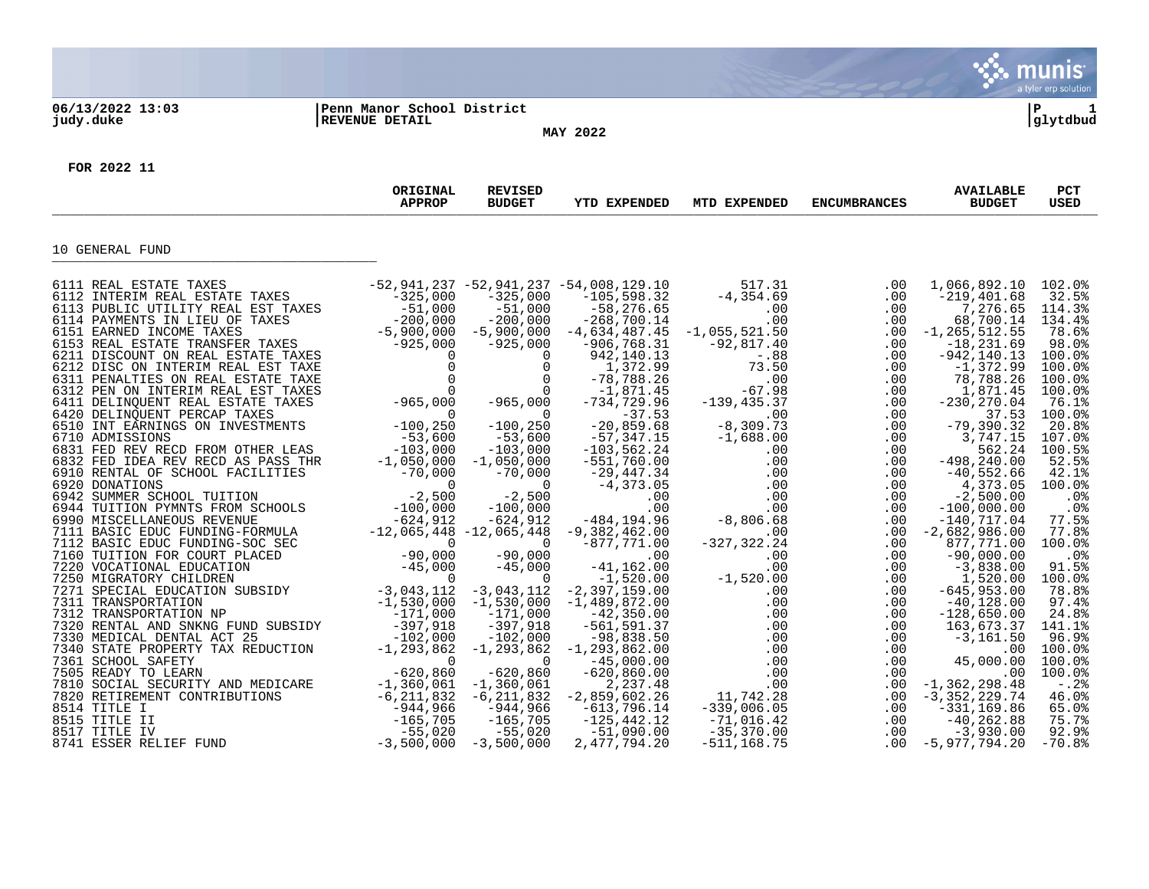|                  |                                              |                                 |                     |              |                     |                                                              | munis <sup>®</sup><br>a tyler erp solution                                                                                                                                                                                                                              |
|------------------|----------------------------------------------|---------------------------------|---------------------|--------------|---------------------|--------------------------------------------------------------|-------------------------------------------------------------------------------------------------------------------------------------------------------------------------------------------------------------------------------------------------------------------------|
| 06/13/2022 13:03 | Penn Manor School District<br>REVENUE DETAIL |                                 |                     |              |                     |                                                              | l P<br>1                                                                                                                                                                                                                                                                |
| judy.duke        |                                              |                                 | <b>MAY 2022</b>     |              |                     |                                                              | glytdbud                                                                                                                                                                                                                                                                |
|                  |                                              |                                 |                     |              |                     |                                                              |                                                                                                                                                                                                                                                                         |
| FOR 2022 11      |                                              |                                 |                     |              |                     |                                                              |                                                                                                                                                                                                                                                                         |
|                  |                                              |                                 |                     |              |                     |                                                              |                                                                                                                                                                                                                                                                         |
|                  | ORIGINAL<br><b>APPROP</b>                    | <b>REVISED</b><br><b>BUDGET</b> | <b>YTD EXPENDED</b> | MTD EXPENDED | <b>ENCUMBRANCES</b> | <b>AVAILABLE</b><br><b>BUDGET</b>                            | PCT<br><b>USED</b>                                                                                                                                                                                                                                                      |
| 10 GENERAL FUND  |                                              |                                 |                     |              |                     |                                                              |                                                                                                                                                                                                                                                                         |
|                  |                                              |                                 |                     |              |                     | 1,066,892.10 102.0%<br>$7,276.65$ 114.3%<br>68,700.14 134.4% | 32.5%<br>78.6%<br>98.0%<br>100.0%<br>100.0%<br>100.0%<br>100.0%<br>76.1%<br>100.0%<br>20.8%<br>107.0%<br>100.5%<br>52.5%<br>42.1%<br>100.0%<br>.0%<br>.0%<br>77.5%<br>77.8%<br>100.0%<br>.0%<br>91.5%<br>100.0%<br>78.8%<br>97.4%<br>24.8%<br>141.1%<br>96.9%<br>100.0% |
|                  |                                              |                                 |                     |              |                     |                                                              | 100.0%<br>100.0%<br>$-0.2$<br>46.0%<br>65.0%<br>75.7%<br>92.9%<br>$-70.8%$                                                                                                                                                                                              |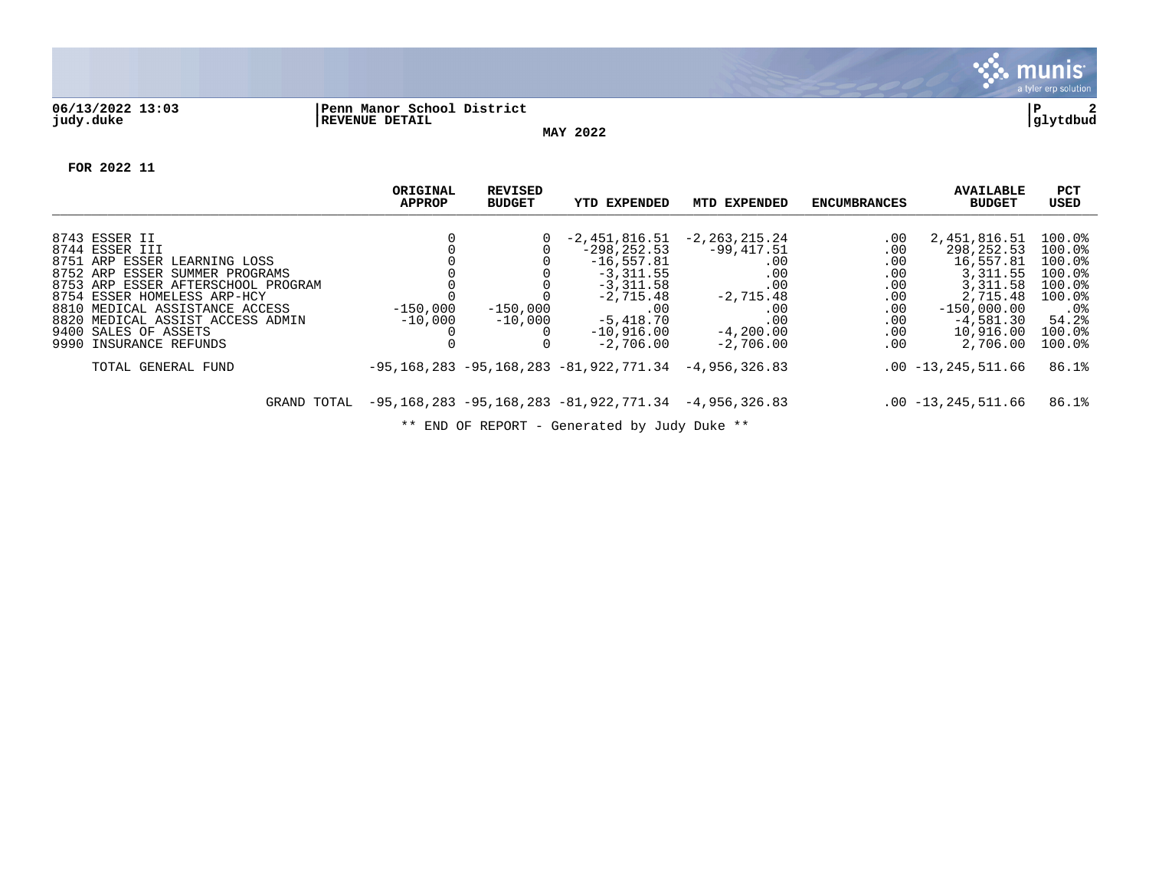

## **06/13/2022 13:03 |Penn Manor School District |P 2 judy.duke |REVENUE DETAIL |glytdbud**

**MAY 2022**

**FOR 2022 11**

|                                                                                                        | ORIGINAL<br><b>APPROP</b> | REVISED<br><b>BUDGET</b> | YTD EXPENDED                                                        | MTD EXPENDED               | <b>ENCUMBRANCES</b> | <b>AVAILABLE</b><br><b>BUDGET</b> | PCT<br>USED                |
|--------------------------------------------------------------------------------------------------------|---------------------------|--------------------------|---------------------------------------------------------------------|----------------------------|---------------------|-----------------------------------|----------------------------|
| 8743 ESSER II                                                                                          |                           | $\Omega$                 | -2,451,816.51                                                       | $-2, 263, 215.24$          | .00                 | 2,451,816.51                      | 100.0%                     |
| 8744 ESSER III<br>8751 ARP ESSER<br>LEARNING LOSS                                                      |                           |                          | $-298, 252, 53$<br>$-16, 557.81$                                    | $-99,417.51$<br>.00        | .00<br>.00          | 298,252.53<br>16,557.81           | 100.0%<br>100.0%           |
| 8752 ARP<br>ESSER SUMMER PROGRAMS<br>8753 ARP ESSER AFTERSCHOOL PROGRAM<br>8754 ESSER HOMELESS ARP-HCY |                           |                          | $-3,311.55$<br>$-3,311.58$<br>$-2,715.48$                           | .00<br>.00<br>$-2,715.48$  | .00<br>.00<br>.00   | 3, 311.55<br>3,311.58<br>2,715.48 | 100.0%<br>100.0%<br>100.0% |
| 8810 MEDICAL ASSISTANCE ACCESS<br>8820 MEDICAL ASSIST ACCESS ADMIN                                     | $-150,000$<br>$-10,000$   | $-150,000$<br>$-10,000$  | $.00 \,$<br>$-5.418.70$                                             | .00<br>.00                 | .00<br>.00          | $-150.000.00$<br>$-4,581.30$      | $.0\%$<br>54.2%            |
| 9400 SALES OF ASSETS<br>9990 INSURANCE REFUNDS                                                         |                           |                          | $-10,916.00$<br>$-2,706.00$                                         | $-4,200,00$<br>$-2,706.00$ | .00<br>.00          | 10,916.00<br>2,706.00             | 100.0%<br>100.0%           |
| TOTAL GENERAL FUND                                                                                     |                           |                          | $-95, 168, 283 - 95, 168, 283 - 81, 922, 771, 34 - 4, 956, 326, 83$ |                            |                     | $.00 - 13, 245, 511.66$           | 86.1%                      |
| GRAND TOTAL                                                                                            |                           |                          | $-95, 168, 283 - 95, 168, 283 - 81, 922, 771, 34 - 4, 956, 326, 83$ |                            |                     | $.00 - 13, 245, 511.66$           | 86.1%                      |

\*\* END OF REPORT - Generated by Judy Duke \*\*